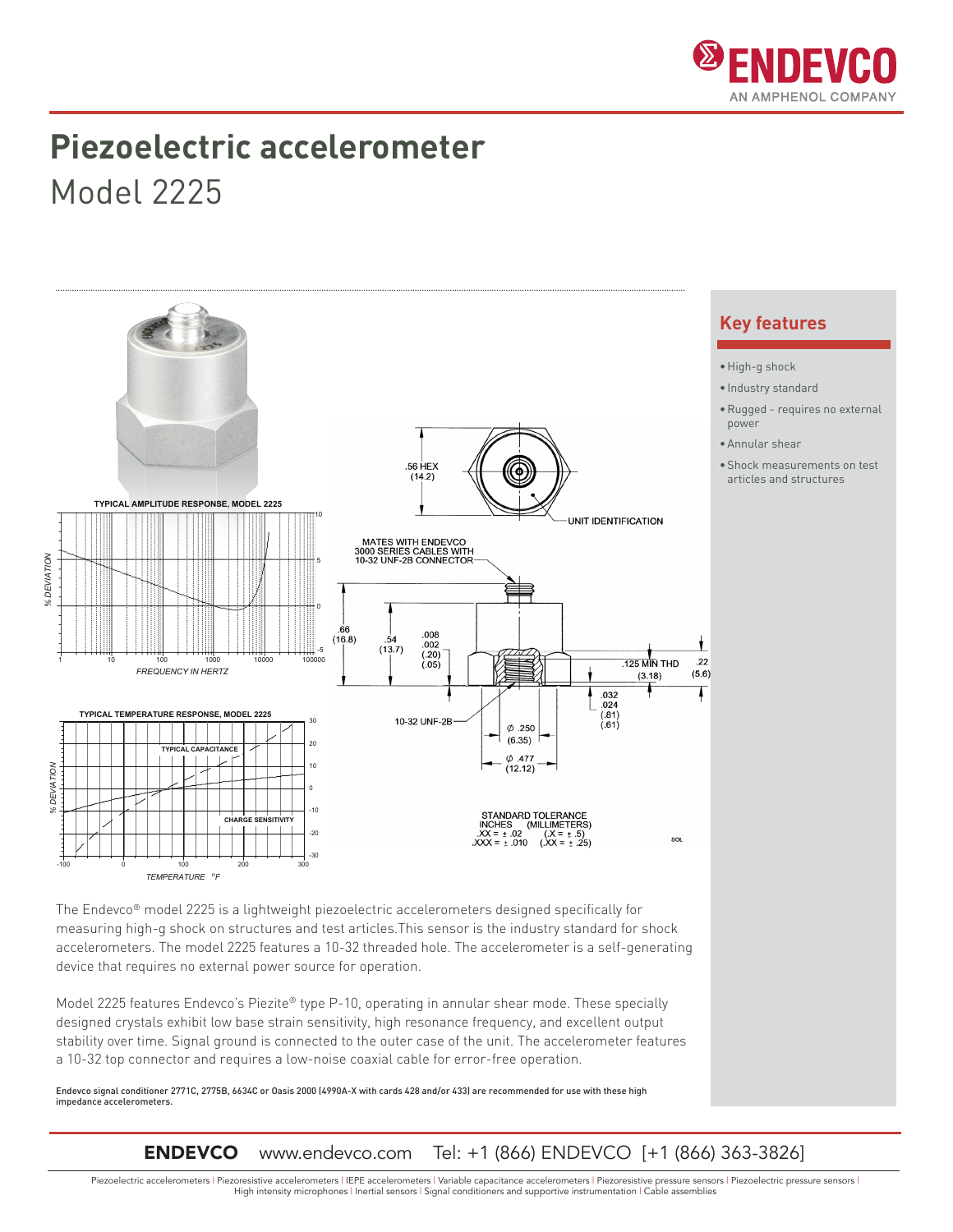

### **Piezoelectric accelerometer**

Model 2225



device that requires no external power source for operation. Model 2225 features Endevco's Piezite® type P-10, operating in annular shear mode. These specially designed crystals exhibit low base strain sensitivity, high resonance frequency, and excellent output stability over time. Signal ground is connected to the outer case of the unit. The accelerometer features

Endevco signal conditioner 2771C, 2775B, 6634C or Oasis 2000 (4990A-X with cards 428 and/or 433) are recommended for use with these high impedance accelerometers.

a 10-32 top connector and requires a low-noise coaxial cable for error-free operation.

ENDEVCO www.endevco.com Tel: +1 (866) ENDEVCO [+1 (866) 363-3826]

Piezoelectric accelerometers | Piezoresistive accelerometers | IEPE accelerometers | Variable capacitance accelerometers | Piezoresistive pressure sensors | Piezoelectric pressure sensors | High intensity microphones | Inertial sensors | Signal conditioners and supportive instrumentation | Cable assemblies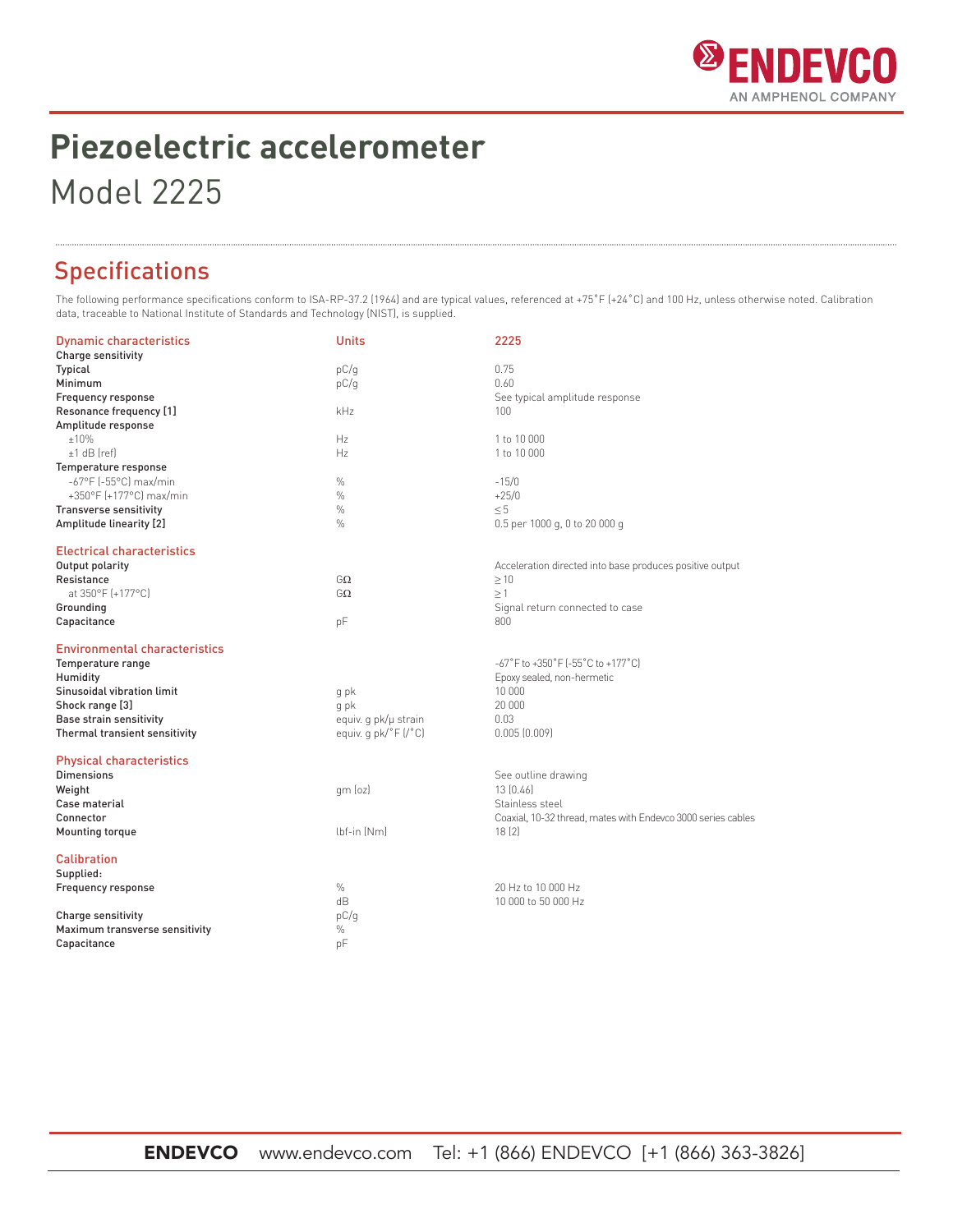

# **Piezoelectric accelerometer**

Model 2225

### Specifications

The following performance specifications conform to ISA-RP-37.2 (1964) and are typical values, referenced at +75°F (+24°C) and 100 Hz, unless otherwise noted. Calibration data, traceable to National Institute of Standards and Technology (NIST), is supplied.

| <b>Dynamic characteristics</b>       | <b>Units</b>         | 2225                                                         |
|--------------------------------------|----------------------|--------------------------------------------------------------|
| Charge sensitivity                   |                      |                                                              |
| Typical                              | pC/q                 | 0.75                                                         |
| Minimum                              | pC/q                 | 0.60                                                         |
| Frequency response                   |                      | See typical amplitude response                               |
| Resonance frequency [1]              | kHz                  | $100 -$                                                      |
| Amplitude response                   |                      |                                                              |
| ±10%                                 | Hz                   | 1 to 10 000                                                  |
| $+1$ dB (ref)                        | Hz                   | 1 to 10 000                                                  |
| Temperature response                 |                      |                                                              |
| -67°F (-55°C) max/min                | $\%$                 | $-15/0$                                                      |
| +350°F (+177°C) max/min              | $\frac{0}{0}$        | $+25/0$                                                      |
| <b>Transverse sensitivity</b>        | $\%$                 | < 5                                                          |
| Amplitude linearity [2]              | $\%$                 | 0.5 per 1000 g, 0 to 20 000 g                                |
| <b>Electrical characteristics</b>    |                      |                                                              |
| Output polarity                      |                      | Acceleration directed into base produces positive output     |
| Resistance                           | GΩ                   | $\geq 10$                                                    |
| at 350°F (+177°C)                    | GΩ                   | $\geq$ 1                                                     |
| Grounding                            |                      | Signal return connected to case                              |
| Capacitance                          | pF                   | 800                                                          |
| <b>Environmental characteristics</b> |                      |                                                              |
| Temperature range                    |                      | -67°F to +350°F (-55°C to +177°C)                            |
| Humidity                             |                      | Epoxy sealed, non-hermetic                                   |
| Sinusoidal vibration limit           | g pk                 | 10 000                                                       |
| Shock range [3]                      | g pk                 | 20 000                                                       |
| Base strain sensitivity              | equiv. q pk/µ strain | 0.03                                                         |
| Thermal transient sensitivity        | equiv. g pk/°F (/°C) | 0.005(0.009)                                                 |
| <b>Physical characteristics</b>      |                      |                                                              |
| <b>Dimensions</b>                    |                      | See outline drawing                                          |
| Weight                               | qm (oz)              | 13[0.46]                                                     |
| Case material                        |                      | Stainless steel                                              |
| Connector                            |                      | Coaxial, 10-32 thread, mates with Endevco 3000 series cables |
| <b>Mounting torque</b>               | lbf-in (Nm)          | 18(2)                                                        |
| Calibration                          |                      |                                                              |
| Supplied:                            |                      |                                                              |
| Frequency response                   | $\%$                 | 20 Hz to 10 000 Hz                                           |
|                                      | dB                   | 10 000 to 50 000 Hz                                          |
| Charge sensitivity                   | pC/q                 |                                                              |
| Maximum transverse sensitivity       | $\%$                 |                                                              |
| Capacitance                          | pF                   |                                                              |